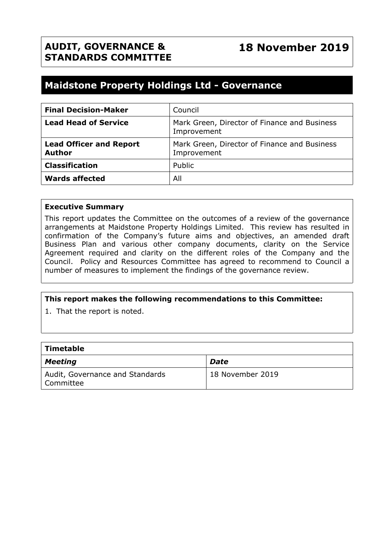# **Maidstone Property Holdings Ltd - Governance**

| <b>Final Decision-Maker</b>                     | Council                                                     |
|-------------------------------------------------|-------------------------------------------------------------|
| <b>Lead Head of Service</b>                     | Mark Green, Director of Finance and Business<br>Improvement |
| <b>Lead Officer and Report</b><br><b>Author</b> | Mark Green, Director of Finance and Business<br>Improvement |
| <b>Classification</b>                           | Public                                                      |
| <b>Wards affected</b>                           | All                                                         |

#### **Executive Summary**

This report updates the Committee on the outcomes of a review of the governance arrangements at Maidstone Property Holdings Limited. This review has resulted in confirmation of the Company's future aims and objectives, an amended draft Business Plan and various other company documents, clarity on the Service Agreement required and clarity on the different roles of the Company and the Council. Policy and Resources Committee has agreed to recommend to Council a number of measures to implement the findings of the governance review.

#### **This report makes the following recommendations to this Committee:**

1. That the report is noted.

| $\mid$ Timetable                               |                  |
|------------------------------------------------|------------------|
| Meeting                                        | <b>Date</b>      |
| Audit, Governance and Standards<br>  Committee | 18 November 2019 |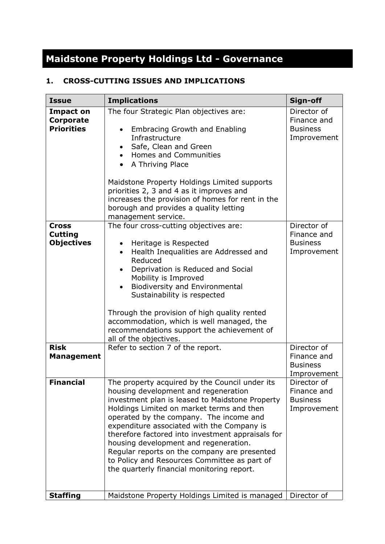# **Maidstone Property Holdings Ltd - Governance**

# **1. CROSS-CUTTING ISSUES AND IMPLICATIONS**

| <b>Issue</b>                                                       | <b>Implications</b>                                                                                                                                                                                                                                                                                                                                                                                                                                                                                                         | Sign-off                                                                    |
|--------------------------------------------------------------------|-----------------------------------------------------------------------------------------------------------------------------------------------------------------------------------------------------------------------------------------------------------------------------------------------------------------------------------------------------------------------------------------------------------------------------------------------------------------------------------------------------------------------------|-----------------------------------------------------------------------------|
| <b>Impact on</b><br>Corporate<br><b>Priorities</b>                 | The four Strategic Plan objectives are:<br><b>Embracing Growth and Enabling</b><br>Infrastructure<br>Safe, Clean and Green<br><b>Homes and Communities</b><br>$\bullet$<br>A Thriving Place<br>$\bullet$<br>Maidstone Property Holdings Limited supports<br>priorities 2, 3 and 4 as it improves and<br>increases the provision of homes for rent in the<br>borough and provides a quality letting<br>management service.                                                                                                   | Director of<br>Finance and<br><b>Business</b><br>Improvement                |
| <b>Cross</b><br><b>Cutting</b><br><b>Objectives</b><br><b>Risk</b> | The four cross-cutting objectives are:<br>Heritage is Respected<br>Health Inequalities are Addressed and<br>Reduced<br>Deprivation is Reduced and Social<br>$\bullet$<br>Mobility is Improved<br>Biodiversity and Environmental<br>Sustainability is respected<br>Through the provision of high quality rented<br>accommodation, which is well managed, the<br>recommendations support the achievement of<br>all of the objectives.<br>Refer to section 7 of the report.                                                    | Director of<br>Finance and<br><b>Business</b><br>Improvement<br>Director of |
| <b>Management</b>                                                  |                                                                                                                                                                                                                                                                                                                                                                                                                                                                                                                             | Finance and<br><b>Business</b><br>Improvement                               |
| <b>Financial</b>                                                   | The property acquired by the Council under its<br>housing development and regeneration<br>investment plan is leased to Maidstone Property<br>Holdings Limited on market terms and then<br>operated by the company. The income and<br>expenditure associated with the Company is<br>therefore factored into investment appraisals for<br>housing development and regeneration.<br>Regular reports on the company are presented<br>to Policy and Resources Committee as part of<br>the quarterly financial monitoring report. | Director of<br>Finance and<br><b>Business</b><br>Improvement                |
| <b>Staffing</b>                                                    | Maidstone Property Holdings Limited is managed                                                                                                                                                                                                                                                                                                                                                                                                                                                                              | Director of                                                                 |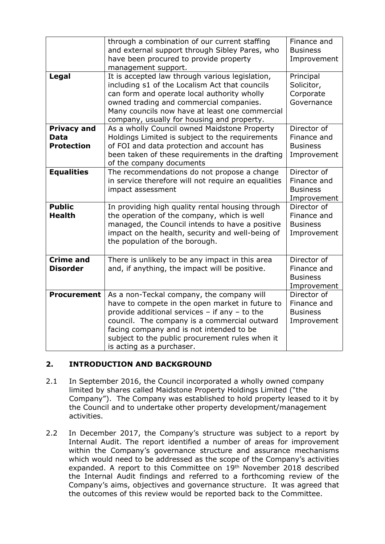|                                                        | through a combination of our current staffing<br>and external support through Sibley Pares, who<br>have been procured to provide property<br>management support.                                                                                                                                                              | Finance and<br><b>Business</b><br>Improvement                |
|--------------------------------------------------------|-------------------------------------------------------------------------------------------------------------------------------------------------------------------------------------------------------------------------------------------------------------------------------------------------------------------------------|--------------------------------------------------------------|
| Legal                                                  | It is accepted law through various legislation,<br>including s1 of the Localism Act that councils<br>can form and operate local authority wholly<br>owned trading and commercial companies.<br>Many councils now have at least one commercial<br>company, usually for housing and property.                                   | Principal<br>Solicitor,<br>Corporate<br>Governance           |
| <b>Privacy and</b><br><b>Data</b><br><b>Protection</b> | As a wholly Council owned Maidstone Property<br>Holdings Limited is subject to the requirements<br>of FOI and data protection and account has<br>been taken of these requirements in the drafting<br>of the company documents                                                                                                 | Director of<br>Finance and<br><b>Business</b><br>Improvement |
| <b>Equalities</b>                                      | The recommendations do not propose a change<br>in service therefore will not require an equalities<br>impact assessment                                                                                                                                                                                                       | Director of<br>Finance and<br><b>Business</b><br>Improvement |
| <b>Public</b><br><b>Health</b>                         | In providing high quality rental housing through<br>the operation of the company, which is well<br>managed, the Council intends to have a positive<br>impact on the health, security and well-being of<br>the population of the borough.                                                                                      | Director of<br>Finance and<br><b>Business</b><br>Improvement |
| <b>Crime and</b><br><b>Disorder</b>                    | There is unlikely to be any impact in this area<br>and, if anything, the impact will be positive.                                                                                                                                                                                                                             | Director of<br>Finance and<br><b>Business</b><br>Improvement |
| <b>Procurement</b>                                     | As a non-Teckal company, the company will<br>have to compete in the open market in future to<br>provide additional services $-$ if any $-$ to the<br>council. The company is a commercial outward<br>facing company and is not intended to be<br>subject to the public procurement rules when it<br>is acting as a purchaser. | Director of<br>Finance and<br><b>Business</b><br>Improvement |

# **2. INTRODUCTION AND BACKGROUND**

- 2.1 In September 2016, the Council incorporated a wholly owned company limited by shares called Maidstone Property Holdings Limited ("the Company"). The Company was established to hold property leased to it by the Council and to undertake other property development/management activities.
- 2.2 In December 2017, the Company's structure was subject to a report by Internal Audit. The report identified a number of areas for improvement within the Company's governance structure and assurance mechanisms which would need to be addressed as the scope of the Company's activities expanded. A report to this Committee on 19<sup>th</sup> November 2018 described the Internal Audit findings and referred to a forthcoming review of the Company's aims, objectives and governance structure. It was agreed that the outcomes of this review would be reported back to the Committee.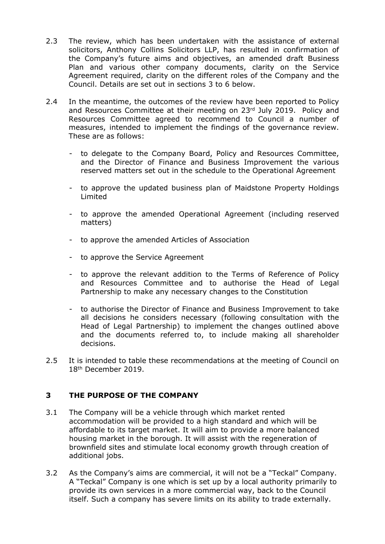- 2.3 The review, which has been undertaken with the assistance of external solicitors, Anthony Collins Solicitors LLP, has resulted in confirmation of the Company's future aims and objectives, an amended draft Business Plan and various other company documents, clarity on the Service Agreement required, clarity on the different roles of the Company and the Council. Details are set out in sections 3 to 6 below.
- 2.4 In the meantime, the outcomes of the review have been reported to Policy and Resources Committee at their meeting on  $23<sup>rd</sup>$  July 2019. Policy and Resources Committee agreed to recommend to Council a number of measures, intended to implement the findings of the governance review. These are as follows:
	- to delegate to the Company Board, Policy and Resources Committee, and the Director of Finance and Business Improvement the various reserved matters set out in the schedule to the Operational Agreement
	- to approve the updated business plan of Maidstone Property Holdings Limited
	- to approve the amended Operational Agreement (including reserved matters)
	- to approve the amended Articles of Association
	- to approve the Service Agreement
	- to approve the relevant addition to the Terms of Reference of Policy and Resources Committee and to authorise the Head of Legal Partnership to make any necessary changes to the Constitution
	- to authorise the Director of Finance and Business Improvement to take all decisions he considers necessary (following consultation with the Head of Legal Partnership) to implement the changes outlined above and the documents referred to, to include making all shareholder decisions.
- 2.5 It is intended to table these recommendations at the meeting of Council on 18th December 2019.

# **3 THE PURPOSE OF THE COMPANY**

- 3.1 The Company will be a vehicle through which market rented accommodation will be provided to a high standard and which will be affordable to its target market. It will aim to provide a more balanced housing market in the borough. It will assist with the regeneration of brownfield sites and stimulate local economy growth through creation of additional jobs.
- 3.2 As the Company's aims are commercial, it will not be a "Teckal" Company. A "Teckal" Company is one which is set up by a local authority primarily to provide its own services in a more commercial way, back to the Council itself. Such a company has severe limits on its ability to trade externally.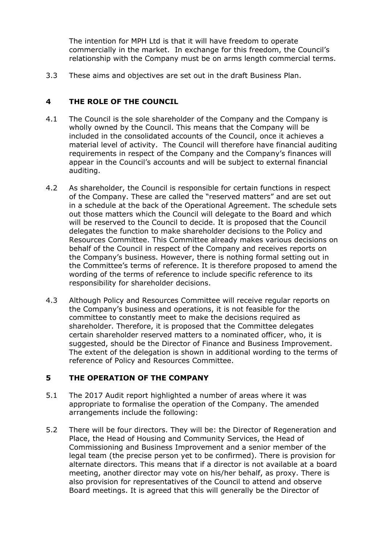The intention for MPH Ltd is that it will have freedom to operate commercially in the market. In exchange for this freedom, the Council's relationship with the Company must be on arms length commercial terms.

3.3 These aims and objectives are set out in the draft Business Plan.

# **4 THE ROLE OF THE COUNCIL**

- 4.1 The Council is the sole shareholder of the Company and the Company is wholly owned by the Council. This means that the Company will be included in the consolidated accounts of the Council, once it achieves a material level of activity. The Council will therefore have financial auditing requirements in respect of the Company and the Company's finances will appear in the Council's accounts and will be subject to external financial auditing.
- 4.2 As shareholder, the Council is responsible for certain functions in respect of the Company. These are called the "reserved matters" and are set out in a schedule at the back of the Operational Agreement. The schedule sets out those matters which the Council will delegate to the Board and which will be reserved to the Council to decide. It is proposed that the Council delegates the function to make shareholder decisions to the Policy and Resources Committee. This Committee already makes various decisions on behalf of the Council in respect of the Company and receives reports on the Company's business. However, there is nothing formal setting out in the Committee's terms of reference. It is therefore proposed to amend the wording of the terms of reference to include specific reference to its responsibility for shareholder decisions.
- 4.3 Although Policy and Resources Committee will receive regular reports on the Company's business and operations, it is not feasible for the committee to constantly meet to make the decisions required as shareholder. Therefore, it is proposed that the Committee delegates certain shareholder reserved matters to a nominated officer, who, it is suggested, should be the Director of Finance and Business Improvement. The extent of the delegation is shown in additional wording to the terms of reference of Policy and Resources Committee.

#### **5 THE OPERATION OF THE COMPANY**

- 5.1 The 2017 Audit report highlighted a number of areas where it was appropriate to formalise the operation of the Company. The amended arrangements include the following:
- 5.2 There will be four directors. They will be: the Director of Regeneration and Place, the Head of Housing and Community Services, the Head of Commissioning and Business Improvement and a senior member of the legal team (the precise person yet to be confirmed). There is provision for alternate directors. This means that if a director is not available at a board meeting, another director may vote on his/her behalf, as proxy. There is also provision for representatives of the Council to attend and observe Board meetings. It is agreed that this will generally be the Director of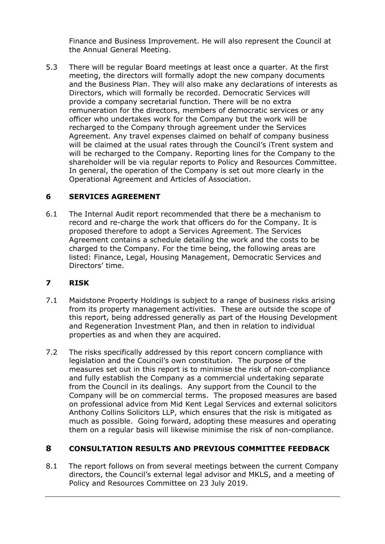Finance and Business Improvement. He will also represent the Council at the Annual General Meeting.

5.3 There will be regular Board meetings at least once a quarter. At the first meeting, the directors will formally adopt the new company documents and the Business Plan. They will also make any declarations of interests as Directors, which will formally be recorded. Democratic Services will provide a company secretarial function. There will be no extra remuneration for the directors, members of democratic services or any officer who undertakes work for the Company but the work will be recharged to the Company through agreement under the Services Agreement. Any travel expenses claimed on behalf of company business will be claimed at the usual rates through the Council's iTrent system and will be recharged to the Company. Reporting lines for the Company to the shareholder will be via regular reports to Policy and Resources Committee. In general, the operation of the Company is set out more clearly in the Operational Agreement and Articles of Association.

# **6 SERVICES AGREEMENT**

6.1 The Internal Audit report recommended that there be a mechanism to record and re-charge the work that officers do for the Company. It is proposed therefore to adopt a Services Agreement. The Services Agreement contains a schedule detailing the work and the costs to be charged to the Company. For the time being, the following areas are listed: Finance, Legal, Housing Management, Democratic Services and Directors' time.

#### **7 RISK**

- 7.1 Maidstone Property Holdings is subject to a range of business risks arising from its property management activities. These are outside the scope of this report, being addressed generally as part of the Housing Development and Regeneration Investment Plan, and then in relation to individual properties as and when they are acquired.
- 7.2 The risks specifically addressed by this report concern compliance with legislation and the Council's own constitution. The purpose of the measures set out in this report is to minimise the risk of non-compliance and fully establish the Company as a commercial undertaking separate from the Council in its dealings. Any support from the Council to the Company will be on commercial terms. The proposed measures are based on professional advice from Mid Kent Legal Services and external solicitors Anthony Collins Solicitors LLP, which ensures that the risk is mitigated as much as possible. Going forward, adopting these measures and operating them on a regular basis will likewise minimise the risk of non-compliance.

# **8 CONSULTATION RESULTS AND PREVIOUS COMMITTEE FEEDBACK**

8.1 The report follows on from several meetings between the current Company directors, the Council's external legal advisor and MKLS, and a meeting of Policy and Resources Committee on 23 July 2019.